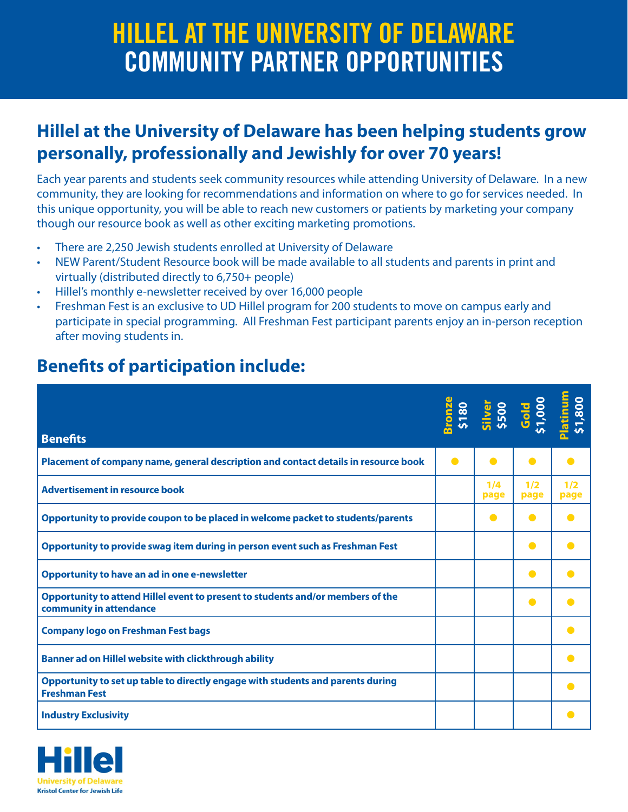## HILLEL AT THE UNIVERSITY OF DELAWARE COMMUNITY PARTNER OPPORTUNITIES

## **Hillel at the University of Delaware has been helping students grow personally, professionally and Jewishly for over 70 years!**

Each year parents and students seek community resources while attending University of Delaware. In a new community, they are looking for recommendations and information on where to go for services needed. In this unique opportunity, you will be able to reach new customers or patients by marketing your company though our resource book as well as other exciting marketing promotions.

- There are 2,250 Jewish students enrolled at University of Delaware
- NEW Parent/Student Resource book will be made available to all students and parents in print and virtually (distributed directly to 6,750+ people)
- Hillel's monthly e-newsletter received by over 16,000 people
- Freshman Fest is an exclusive to UD Hillel program for 200 students to move on campus early and participate in special programming. All Freshman Fest participant parents enjoy an in-person reception after moving students in.

## **Benefits of participation include:**

| <b>Benefits</b>                                                                                            |           |             | <b>Stonze</b><br>5180<br>51 <sub>1001</sub><br>51,000<br>51,800<br>51,800 |             |
|------------------------------------------------------------------------------------------------------------|-----------|-------------|---------------------------------------------------------------------------|-------------|
| Placement of company name, general description and contact details in resource book                        | $\bullet$ | $\bullet$   | $\bullet$                                                                 |             |
| <b>Advertisement in resource book</b>                                                                      |           | 1/4<br>page | 1/2<br>page                                                               | 1/2<br>page |
| Opportunity to provide coupon to be placed in welcome packet to students/parents                           |           | $\bullet$   |                                                                           |             |
| Opportunity to provide swag item during in person event such as Freshman Fest                              |           |             | c                                                                         |             |
| <b>Opportunity to have an ad in one e-newsletter</b>                                                       |           |             | $\bullet$                                                                 |             |
| Opportunity to attend Hillel event to present to students and/or members of the<br>community in attendance |           |             | $\bullet$                                                                 |             |
| <b>Company logo on Freshman Fest bags</b>                                                                  |           |             |                                                                           |             |
| Banner ad on Hillel website with clickthrough ability                                                      |           |             |                                                                           |             |
| Opportunity to set up table to directly engage with students and parents during<br><b>Freshman Fest</b>    |           |             |                                                                           |             |
| <b>Industry Exclusivity</b>                                                                                |           |             |                                                                           |             |